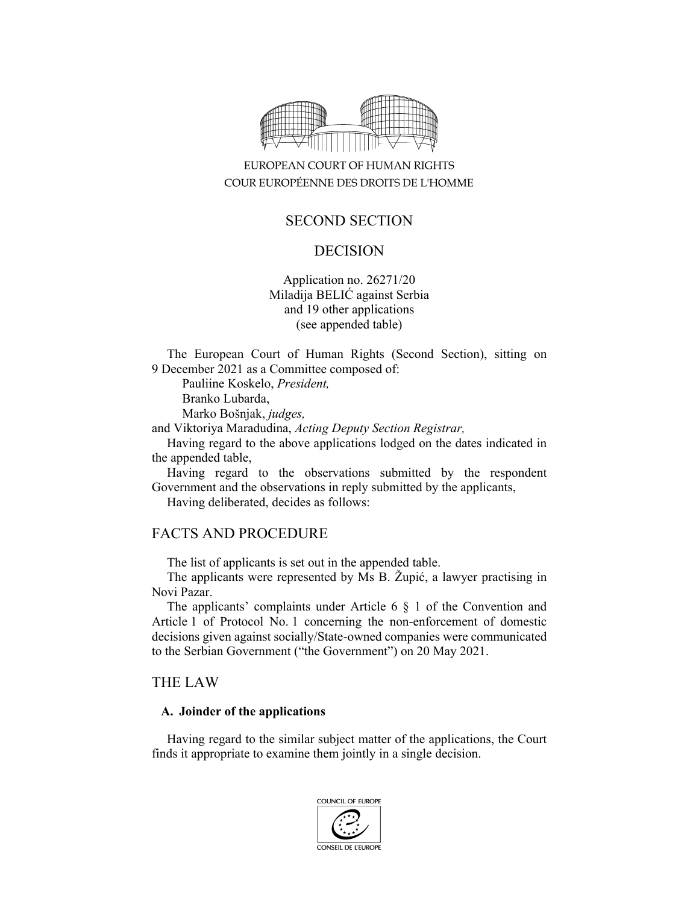

# EUROPEAN COURT OF HUMAN RIGHTS COUR EUROPÉENNE DES DROITS DE L'HOMME

# SECOND SECTION

## DECISION

Application no. 26271/20 Miladija BELIĆ against Serbia and 19 other applications (see appended table)

The European Court of Human Rights (Second Section), sitting on 9 December 2021 as a Committee composed of:

Pauliine Koskelo, *President,* 

Branko Lubarda,

Marko Bošnjak, *judges,*

and Viktoriya Maradudina, *Acting Deputy Section Registrar,*

Having regard to the above applications lodged on the dates indicated in the appended table,

Having regard to the observations submitted by the respondent Government and the observations in reply submitted by the applicants,

Having deliberated, decides as follows:

## FACTS AND PROCEDURE

The list of applicants is set out in the appended table.

The applicants were represented by Ms B. Župić, a lawyer practising in Novi Pazar.

The applicants' complaints under Article 6 § 1 of the Convention and Article 1 of Protocol No. 1 concerning the non-enforcement of domestic decisions given against socially/State-owned companies were communicated to the Serbian Government ("the Government") on 20 May 2021.

## THE LAW

#### **A. Joinder of the applications**

Having regard to the similar subject matter of the applications, the Court finds it appropriate to examine them jointly in a single decision.

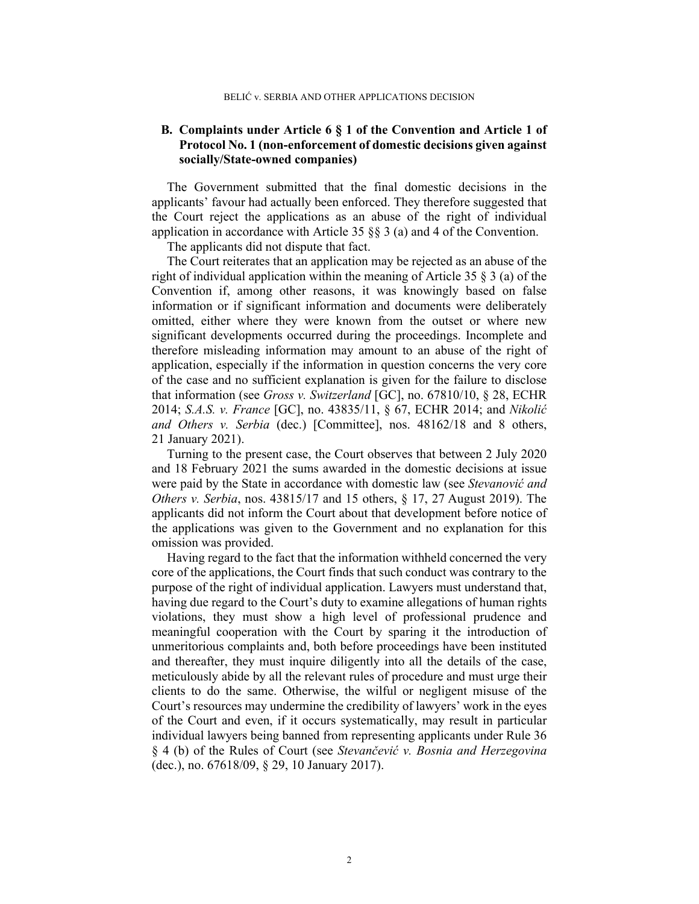### **B. Complaints under Article 6 § 1 of the Convention and Article 1 of Protocol No. 1 (non-enforcement of domestic decisions given against socially/State-owned companies)**

The Government submitted that the final domestic decisions in the applicants' favour had actually been enforced. They therefore suggested that the Court reject the applications as an abuse of the right of individual application in accordance with Article 35  $\S$  3 (a) and 4 of the Convention.

The applicants did not dispute that fact.

The Court reiterates that an application may be rejected as an abuse of the right of individual application within the meaning of Article 35 § 3 (a) of the Convention if, among other reasons, it was knowingly based on false information or if significant information and documents were deliberately omitted, either where they were known from the outset or where new significant developments occurred during the proceedings. Incomplete and therefore misleading information may amount to an abuse of the right of application, especially if the information in question concerns the very core of the case and no sufficient explanation is given for the failure to disclose that information (see *Gross v. Switzerland* [GC], no. 67810/10, § 28, ECHR 2014; *S.A.S. v. France* [GC], no. 43835/11, § 67, ECHR 2014; and *Nikolić and Others v. Serbia* (dec.) [Committee], nos. 48162/18 and 8 others, 21 January 2021).

Turning to the present case, the Court observes that between 2 July 2020 and 18 February 2021 the sums awarded in the domestic decisions at issue were paid by the State in accordance with domestic law (see *Stevanović and Others v. Serbia*, nos. 43815/17 and 15 others, § 17, 27 August 2019). The applicants did not inform the Court about that development before notice of the applications was given to the Government and no explanation for this omission was provided.

Having regard to the fact that the information withheld concerned the very core of the applications, the Court finds that such conduct was contrary to the purpose of the right of individual application. Lawyers must understand that, having due regard to the Court's duty to examine allegations of human rights violations, they must show a high level of professional prudence and meaningful cooperation with the Court by sparing it the introduction of unmeritorious complaints and, both before proceedings have been instituted and thereafter, they must inquire diligently into all the details of the case, meticulously abide by all the relevant rules of procedure and must urge their clients to do the same. Otherwise, the wilful or negligent misuse of the Court's resources may undermine the credibility of lawyers' work in the eyes of the Court and even, if it occurs systematically, may result in particular individual lawyers being banned from representing applicants under Rule 36 § 4 (b) of the Rules of Court (see *Stevančević v. Bosnia and Herzegovina* (dec.), no. 67618/09, § 29, 10 January 2017).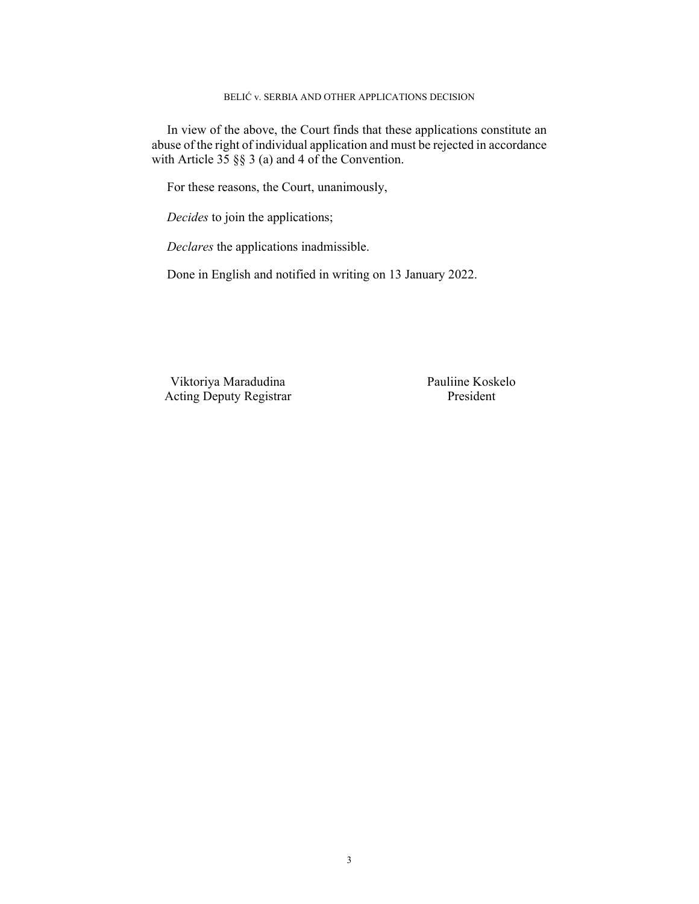#### BELIĆ v. SERBIA AND OTHER APPLICATIONS DECISION

In view of the above, the Court finds that these applications constitute an abuse of the right of individual application and must be rejected in accordance with Article  $35 \S$   $\S$  3 (a) and 4 of the Convention.

For these reasons, the Court, unanimously,

*Decides* to join the applications;

*Declares* the applications inadmissible.

Done in English and notified in writing on 13 January 2022.

Viktoriya Maradudina Pauliine Koskelo Acting Deputy Registrar President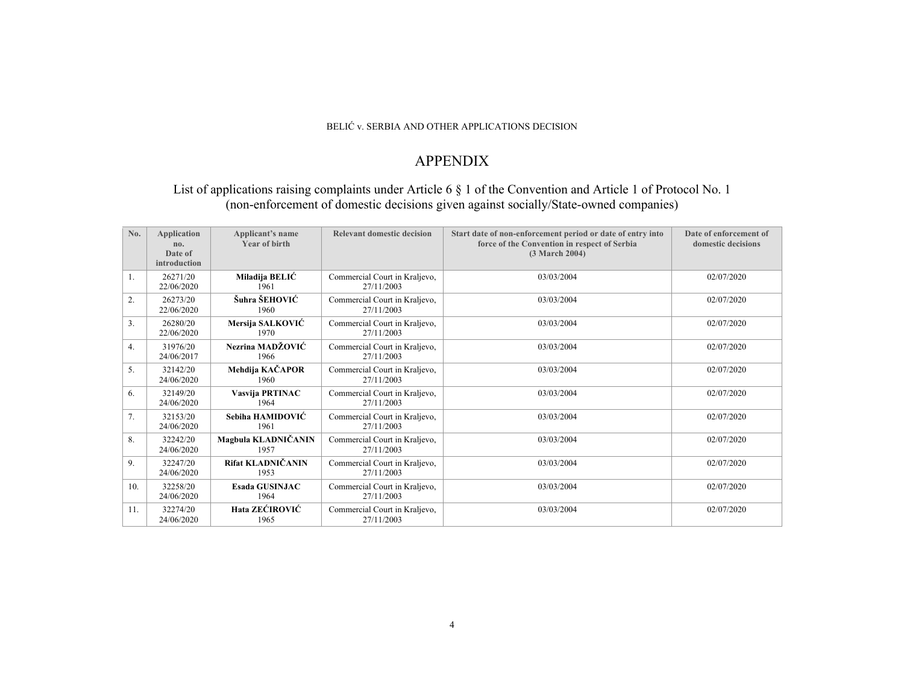#### BELIĆ v. SERBIA AND OTHER APPLICATIONS DECISION

## APPENDIX

## List of applications raising complaints under Article 6 § 1 of the Convention and Article 1 of Protocol No. 1 (non-enforcement of domestic decisions given against socially/State-owned companies)

| No. | <b>Application</b><br>no.<br>Date of<br>introduction | Applicant's name<br><b>Year of birth</b> | <b>Relevant domestic decision</b>           | Start date of non-enforcement period or date of entry into<br>force of the Convention in respect of Serbia<br>(3 March 2004) | Date of enforcement of<br>domestic decisions |
|-----|------------------------------------------------------|------------------------------------------|---------------------------------------------|------------------------------------------------------------------------------------------------------------------------------|----------------------------------------------|
| 1.  | 26271/20<br>22/06/2020                               | Miladija BELIĆ<br>1961                   | Commercial Court in Kraljevo,<br>27/11/2003 | 03/03/2004                                                                                                                   | 02/07/2020                                   |
| 2.  | 26273/20<br>22/06/2020                               | Šuhra ŠEHOVIĆ<br>1960                    | Commercial Court in Kraljevo,<br>27/11/2003 | 03/03/2004                                                                                                                   | 02/07/2020                                   |
| 3.  | 26280/20<br>22/06/2020                               | Mersija SALKOVIĆ<br>1970                 | Commercial Court in Kraljevo,<br>27/11/2003 | 03/03/2004                                                                                                                   | 02/07/2020                                   |
| 4.  | 31976/20<br>24/06/2017                               | Nezrina MADŽOVIĆ<br>1966                 | Commercial Court in Kraljevo,<br>27/11/2003 | 03/03/2004                                                                                                                   | 02/07/2020                                   |
| 5.  | 32142/20<br>24/06/2020                               | Mehdija KAČAPOR<br>1960                  | Commercial Court in Kraljevo,<br>27/11/2003 | 03/03/2004                                                                                                                   | 02/07/2020                                   |
| 6.  | 32149/20<br>24/06/2020                               | Vasvija PRTINAC<br>1964                  | Commercial Court in Kraljevo,<br>27/11/2003 | 03/03/2004                                                                                                                   | 02/07/2020                                   |
| 7.  | 32153/20<br>24/06/2020                               | Sebiha HAMIDOVIĆ<br>1961                 | Commercial Court in Kraljevo,<br>27/11/2003 | 03/03/2004                                                                                                                   | 02/07/2020                                   |
| 8.  | 32242/20<br>24/06/2020                               | Magbula KLADNIČANIN<br>1957              | Commercial Court in Kraljevo,<br>27/11/2003 | 03/03/2004                                                                                                                   | 02/07/2020                                   |
| 9.  | 32247/20<br>24/06/2020                               | Rifat KLADNIČANIN<br>1953                | Commercial Court in Kraljevo,<br>27/11/2003 | 03/03/2004                                                                                                                   | 02/07/2020                                   |
| 10. | 32258/20<br>24/06/2020                               | <b>Esada GUSINJAC</b><br>1964            | Commercial Court in Kraljevo,<br>27/11/2003 | 03/03/2004                                                                                                                   | 02/07/2020                                   |
| 11. | 32274/20<br>24/06/2020                               | Hata ZEĆIROVIĆ<br>1965                   | Commercial Court in Kraljevo,<br>27/11/2003 | 03/03/2004                                                                                                                   | 02/07/2020                                   |